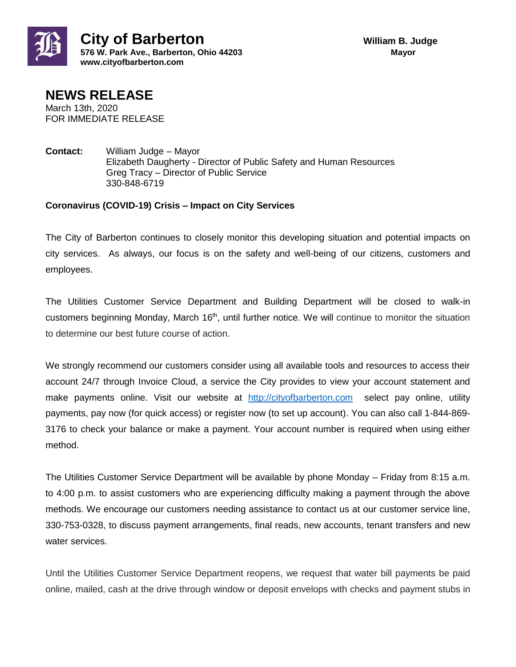



FOR IMMEDIATE RELEASE

**Contact:** William Judge – Mayor Elizabeth Daugherty - Director of Public Safety and Human Resources Greg Tracy – Director of Public Service 330-848-6719

## **Coronavirus (COVID-19) Crisis – Impact on City Services**

The City of Barberton continues to closely monitor this developing situation and potential impacts on city services. As always, our focus is on the safety and well-being of our citizens, customers and employees.

The Utilities Customer Service Department and Building Department will be closed to walk-in customers beginning Monday, March 16<sup>th</sup>, until further notice. We will continue to monitor the situation to determine our best future course of action.

We strongly recommend our customers consider using all available tools and resources to access their account 24/7 through Invoice Cloud, a service the City provides to view your account statement and make payments online. Visit our website at [http://cityofbarberton.com](http://cityofbarberton.com/) select pay online, utility payments, pay now (for quick access) or register now (to set up account). You can also call 1-844-869- 3176 to check your balance or make a payment. Your account number is required when using either method.

The Utilities Customer Service Department will be available by phone Monday – Friday from 8:15 a.m. to 4:00 p.m. to assist customers who are experiencing difficulty making a payment through the above methods. We encourage our customers needing assistance to contact us at our customer service line, 330-753-0328, to discuss payment arrangements, final reads, new accounts, tenant transfers and new water services.

Until the Utilities Customer Service Department reopens, we request that water bill payments be paid online, mailed, cash at the drive through window or deposit envelops with checks and payment stubs in